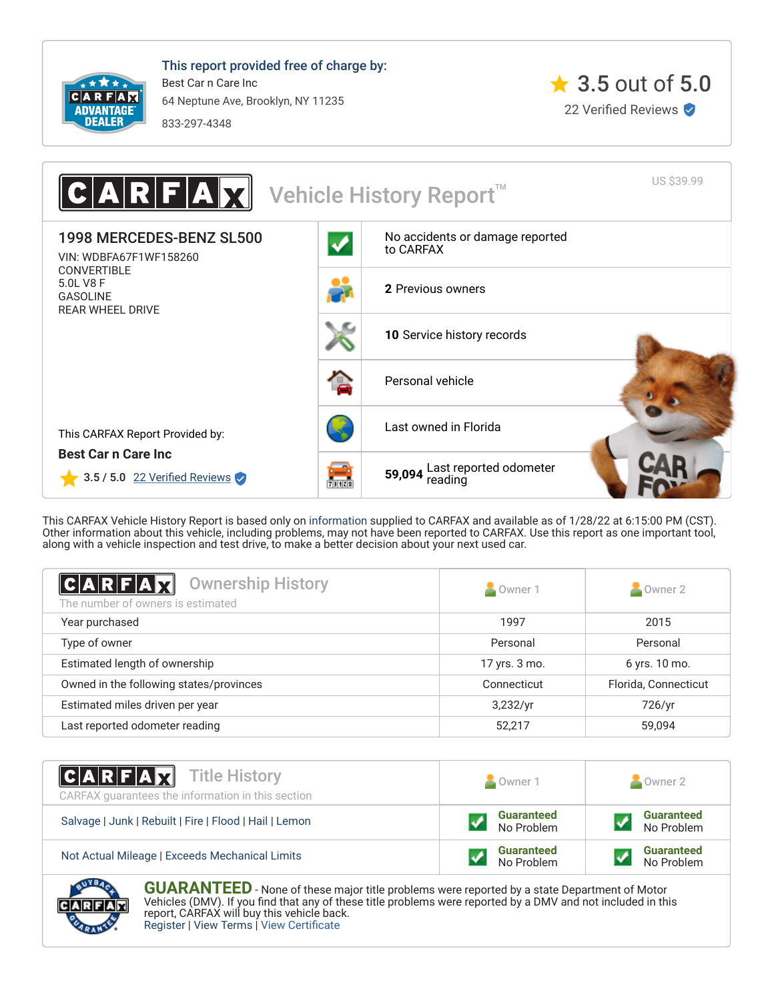

This report provided free of charge by: Best Car n Care Inc 64 Neptune Ave, Brooklyn, NY 11235 833-297-4348





This CARFAX Vehicle History Report is based only on [information](http://www.carfax.com/company/vhr-data-sources) supplied to CARFAX and available as of 1/28/22 at 6:15:00 PM (CST). Other information about this vehicle, including problems, may not have been reported to CARFAX. Use this report as one important tool, along with a vehicle inspection and test drive, to make a better decision about your next used car.

<span id="page-0-0"></span>

| $ C A R F A \vec{X}  $<br><b>Ownership History</b><br>The number of owners is estimated | Owner 1       | $\sim$ Owner 2       |
|-----------------------------------------------------------------------------------------|---------------|----------------------|
| Year purchased                                                                          | 1997          | 2015                 |
| Type of owner                                                                           | Personal      | Personal             |
| Estimated length of ownership                                                           | 17 yrs. 3 mo. | 6 yrs. 10 mo.        |
| Owned in the following states/provinces                                                 | Connecticut   | Florida, Connecticut |
| Estimated miles driven per year                                                         | 3,232/yr      | 726/yr               |
| Last reported odometer reading                                                          | 52,217        | 59,094               |

| <b>CARFAX</b> Title History<br>CARFAX guarantees the information in this section | Owner 1                         | Owner 2                         |
|----------------------------------------------------------------------------------|---------------------------------|---------------------------------|
| Salvage   Junk   Rebuilt   Fire   Flood   Hail   Lemon                           | <b>Guaranteed</b><br>No Problem | <b>Guaranteed</b><br>No Problem |
| Not Actual Mileage   Exceeds Mechanical Limits                                   | <b>Guaranteed</b><br>No Problem | <b>Guaranteed</b><br>No Problem |



**GUARANTEED** - None of these major title problems were reported by a state Department of Motor Vehicles (DMV). If you find that any of these title problems were reported by a DMV and not included in this report, CARFAX will buy this vehicle back. [Register](https://www.carfax.com/Service/bbg) | [View Terms](http://www.carfaxonline.com/legal/bbgTerms) | [View Certificate](https://www.carfaxonline.com/vhrs/WDBFA67F1WF158260)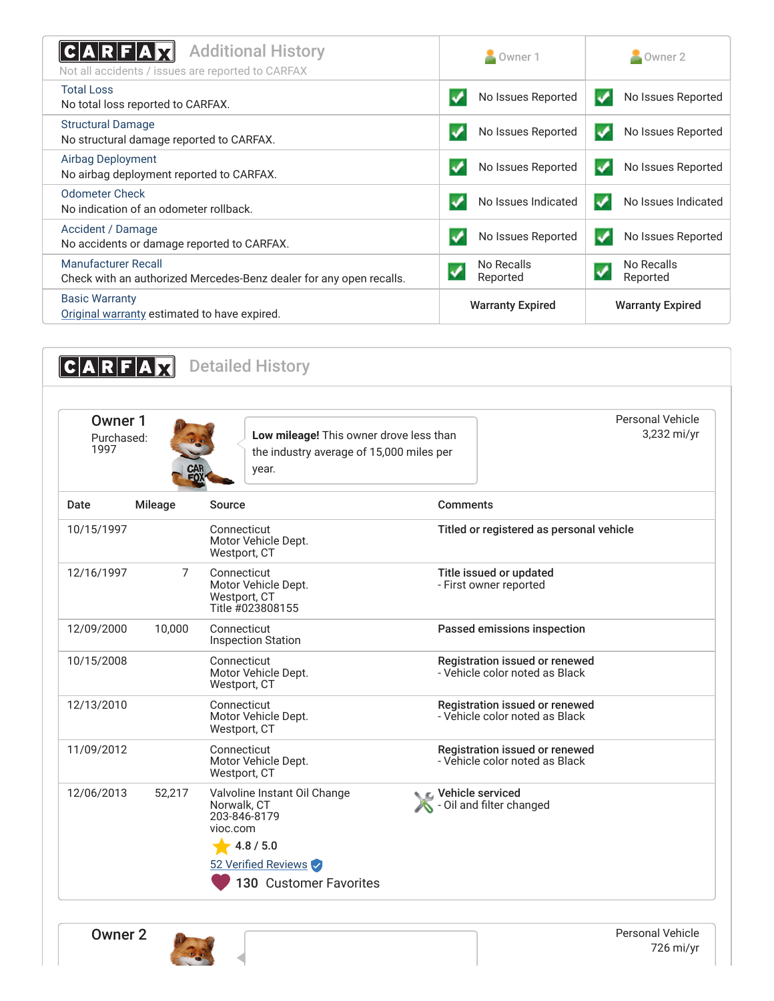<span id="page-1-0"></span>

| <b>Additional History</b><br>C A R F A<br>Not all accidents / issues are reported to CARFAX       | Owner 1                 | $\sim$ Owner 2                         |
|---------------------------------------------------------------------------------------------------|-------------------------|----------------------------------------|
| <b>Total Loss</b><br>No total loss reported to CARFAX.                                            | No Issues Reported      | No Issues Reported<br>$\boldsymbol{J}$ |
| <b>Structural Damage</b><br>No structural damage reported to CARFAX.                              | No Issues Reported      | No Issues Reported                     |
| <b>Airbag Deployment</b><br>No airbag deployment reported to CARFAX.                              | No Issues Reported      | No Issues Reported<br>$\bullet$        |
| <b>Odometer Check</b><br>No indication of an odometer rollback.                                   | No Issues Indicated     | No Issues Indicated                    |
| Accident / Damage<br>No accidents or damage reported to CARFAX.                                   | No Issues Reported      | No Issues Reported                     |
| <b>Manufacturer Recall</b><br>Check with an authorized Mercedes-Benz dealer for any open recalls. | No Recalls<br>Reported  | No Recalls<br>Reported                 |
| <b>Basic Warranty</b><br>Original warranty estimated to have expired.                             | <b>Warranty Expired</b> | <b>Warranty Expired</b>                |

<span id="page-1-1"></span>

| Owner 1<br>Purchased:<br>1997 |                | Low mileage! This owner drove less than<br>the industry average of 15,000 miles per<br>year.                                          |                                                                  | Personal Vehicle<br>3,232 mi/yr |
|-------------------------------|----------------|---------------------------------------------------------------------------------------------------------------------------------------|------------------------------------------------------------------|---------------------------------|
| Date                          | <b>Mileage</b> | Source                                                                                                                                | <b>Comments</b>                                                  |                                 |
| 10/15/1997                    |                | Connecticut<br>Motor Vehicle Dept.<br>Westport, CT                                                                                    | Titled or registered as personal vehicle                         |                                 |
| 12/16/1997                    | 7              | Connecticut<br>Motor Vehicle Dept.<br>Westport, CT<br>Title #023808155                                                                | Title issued or updated<br>- First owner reported                |                                 |
| 12/09/2000                    | 10,000         | Connecticut<br><b>Inspection Station</b>                                                                                              | Passed emissions inspection                                      |                                 |
| 10/15/2008                    |                | Connecticut<br>Motor Vehicle Dept.<br>Westport, CT                                                                                    | Registration issued or renewed<br>- Vehicle color noted as Black |                                 |
| 12/13/2010                    |                | Connecticut<br>Motor Vehicle Dept.<br>Westport, CT                                                                                    | Registration issued or renewed<br>- Vehicle color noted as Black |                                 |
| 11/09/2012                    |                | Connecticut<br>Motor Vehicle Dept.<br>Westport, CT                                                                                    | Registration issued or renewed<br>- Vehicle color noted as Black |                                 |
| 12/06/2013                    | 52,217         | Valvoline Instant Oil Change<br>Norwalk, CT<br>203-846-8179<br>vioc.com<br>4.8 / 5.0<br>52 Verified Reviews<br>130 Customer Favorites | Vehicle serviced<br>S - Oil and filter changed                   |                                 |

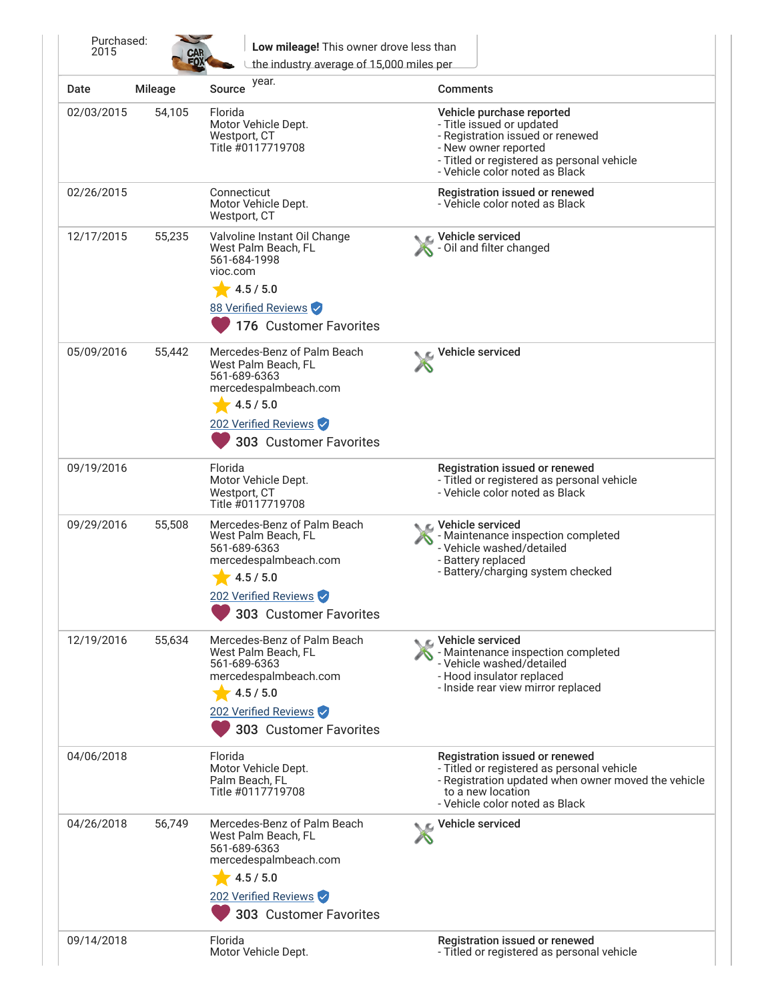| Date       | <b>Mileage</b> | year.<br>Source                                                                                                                                            | Comments                                                                                                                                                                                           |
|------------|----------------|------------------------------------------------------------------------------------------------------------------------------------------------------------|----------------------------------------------------------------------------------------------------------------------------------------------------------------------------------------------------|
| 02/03/2015 | 54,105         | Florida<br>Motor Vehicle Dept.<br>Westport, CT<br>Title #0117719708                                                                                        | Vehicle purchase reported<br>- Title issued or updated<br>- Registration issued or renewed<br>- New owner reported<br>- Titled or registered as personal vehicle<br>- Vehicle color noted as Black |
| 02/26/2015 |                | Connecticut<br>Motor Vehicle Dept.<br>Westport, CT                                                                                                         | Registration issued or renewed<br>- Vehicle color noted as Black                                                                                                                                   |
| 12/17/2015 | 55,235         | Valvoline Instant Oil Change<br>West Palm Beach, FL<br>561-684-1998<br>vioc.com<br>4.5 / 5.0                                                               | ्र Vehicle serviced<br>Oil and filter changed                                                                                                                                                      |
|            |                | 88 Verified Reviews<br>176 Customer Favorites                                                                                                              |                                                                                                                                                                                                    |
| 05/09/2016 | 55,442         | Mercedes-Benz of Palm Beach<br>West Palm Beach, FL<br>561-689-6363<br>mercedespalmbeach.com<br>4.5 / 5.0<br>202 Verified Reviews                           | Vehicle serviced                                                                                                                                                                                   |
|            |                | 303 Customer Favorites                                                                                                                                     |                                                                                                                                                                                                    |
| 09/19/2016 |                | Florida<br>Motor Vehicle Dept.<br>Westport, CT<br>Title #0117719708                                                                                        | Registration issued or renewed<br>- Titled or registered as personal vehicle<br>- Vehicle color noted as Black                                                                                     |
| 09/29/2016 | 55,508         | Mercedes-Benz of Palm Beach<br>West Palm Beach, FL<br>561-689-6363<br>mercedespalmbeach.com<br>4.5 / 5.0<br>202 Verified Reviews<br>303 Customer Favorites | C Vehicle serviced<br>- Maintenance inspection completed<br>- Vehicle washed/detailed<br>- Battery replaced<br>- Battery/charging system checked                                                   |
| 12/19/2016 | 55,634         | Mercedes-Benz of Palm Beach<br>West Palm Beach, FL<br>561-689-6363<br>mercedespalmbeach.com<br>4.5 / 5.0<br>202 Verified Reviews<br>303 Customer Favorites | Vehicle serviced<br>- Maintenance inspection completed<br>- Vehicle washed/detailed<br>- Hood insulator replaced<br>- Inside rear view mirror replaced                                             |
| 04/06/2018 |                | Florida<br>Motor Vehicle Dept.<br>Palm Beach, FL<br>Title #0117719708                                                                                      | Registration issued or renewed<br>- Titled or registered as personal vehicle<br>- Registration updated when owner moved the vehicle<br>to a new location<br>- Vehicle color noted as Black         |
| 04/26/2018 | 56,749         | Mercedes-Benz of Palm Beach<br>West Palm Beach, FL<br>561-689-6363<br>mercedespalmbeach.com<br>4.5 / 5.0<br>202 Verified Reviews<br>303 Customer Favorites | Vehicle serviced                                                                                                                                                                                   |
| 09/14/2018 |                | Florida<br>Motor Vehicle Dept.                                                                                                                             | Registration issued or renewed<br>- Titled or registered as personal vehicle                                                                                                                       |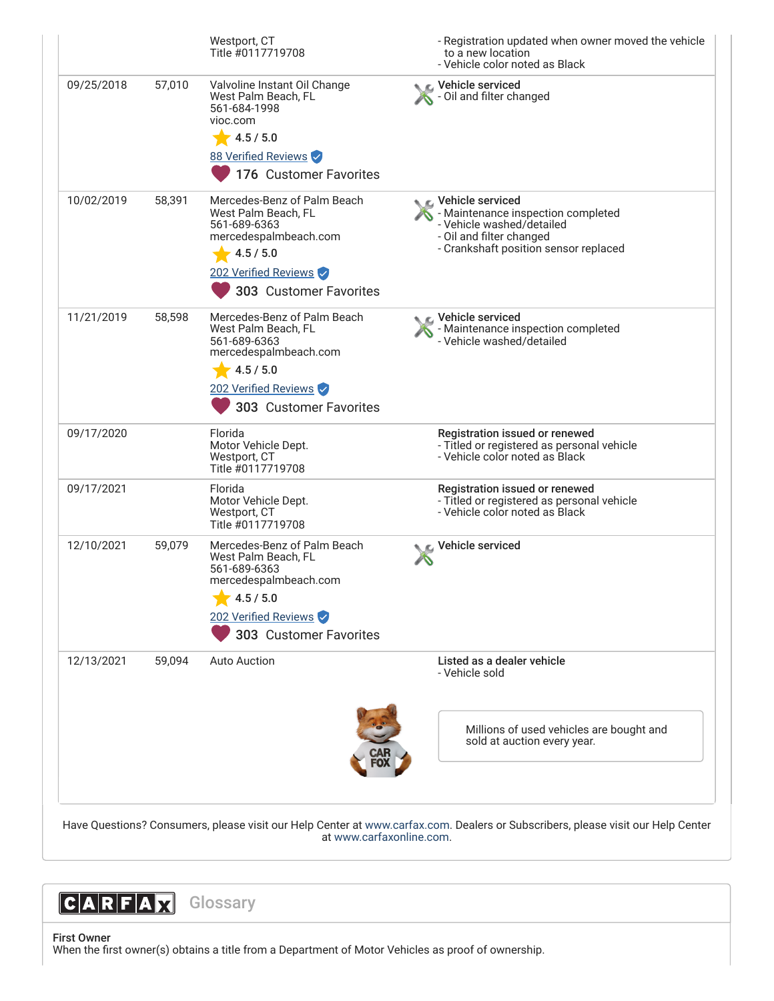|            |        | Westport, CT<br>Title #0117719708                                                                                                                          | - Registration updated when owner moved the vehicle<br>to a new location<br>- Vehicle color noted as Black                                                 |
|------------|--------|------------------------------------------------------------------------------------------------------------------------------------------------------------|------------------------------------------------------------------------------------------------------------------------------------------------------------|
| 09/25/2018 | 57,010 | Valvoline Instant Oil Change<br>West Palm Beach, FL<br>561-684-1998<br>vioc.com<br>4.5 / 5.0<br>88 Verified Reviews<br>176 Customer Favorites              | C Vehicle serviced<br><b>X</b> - Oil and filter changed                                                                                                    |
| 10/02/2019 | 58,391 | Mercedes-Benz of Palm Beach<br>West Palm Beach, FL<br>561-689-6363<br>mercedespalmbeach.com<br>4.5 / 5.0<br>202 Verified Reviews<br>303 Customer Favorites | C Vehicle serviced<br>- Maintenance inspection completed<br>- Vehicle washed/detailed<br>- Oil and filter changed<br>- Crankshaft position sensor replaced |
| 11/21/2019 | 58,598 | Mercedes-Benz of Palm Beach<br>West Palm Beach, FL<br>561-689-6363<br>mercedespalmbeach.com<br>4.5 / 5.0<br>202 Verified Reviews<br>303 Customer Favorites | Vehicle serviced<br>- Maintenance inspection completed<br>- Vehicle washed/detailed                                                                        |
| 09/17/2020 |        | Florida<br>Motor Vehicle Dept.<br>Westport, CT<br>Title #0117719708                                                                                        | Registration issued or renewed<br>- Titled or registered as personal vehicle<br>- Vehicle color noted as Black                                             |
| 09/17/2021 |        | Florida<br>Motor Vehicle Dept.<br>Westport, CT<br>Title #0117719708                                                                                        | Registration issued or renewed<br>- Titled or registered as personal vehicle<br>- Vehicle color noted as Black                                             |
| 12/10/2021 | 59,079 | Mercedes-Benz of Palm Beach<br>West Palm Beach, FL<br>561-689-6363<br>mercedespalmbeach.com<br>4.5 / 5.0<br>202 Verified Reviews<br>303 Customer Favorites | $\epsilon$ Vehicle serviced                                                                                                                                |
| 12/13/2021 | 59,094 | Auto Auction                                                                                                                                               | Listed as a dealer vehicle<br>- Vehicle sold                                                                                                               |
|            |        |                                                                                                                                                            | Millions of used vehicles are bought and<br>sold at auction every year.                                                                                    |

at [www.carfaxonline.com.](http://www.carfaxonline.com/)



First Owner When the first owner(s) obtains a title from a Department of Motor Vehicles as proof of ownership.